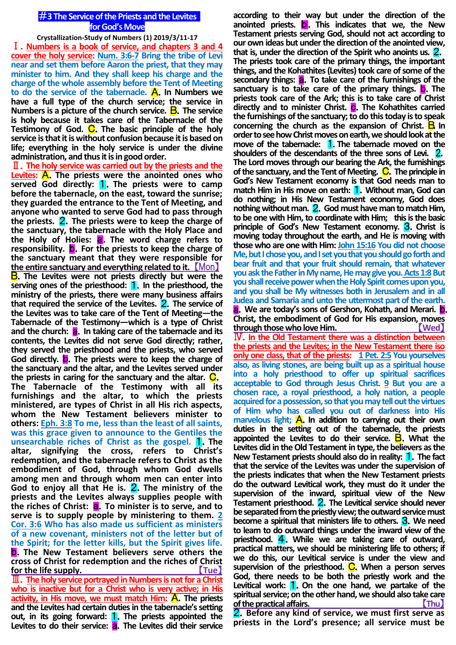## #**3 The Service of the Priests and the Levites for God's Move**

**Crystallization-Study of Numbers (1) 2019/3/11-17** Ⅰ.**Numbers is a book of service, and chapters 3 and 4 cover the holy service: Num. 3:6-7 Bring the tribe of Levi near and set them before Aaron the priest, that they may minister to him. And they shall keep his charge and the charge of the whole assembly before the Tent of Meeting to do the service of the tabernacle.** A.**In Numbers we have a full type of the church service; the service in Numbers is a picture of the church service.** B.**The service is holy because it takes care of the Tabernacle of the Testimony of God.** C.**The basic principle of the holy service is that it is without confusion because it is based on life; everything in the holy service is under the divine administration, and thus it is in good order.**

Ⅱ.**The holy service was carried out by the priests and the Levites:** A.**The priests were the anointed ones who served God directly:** 1.**The priests were to camp before the tabernacle, on the east, toward the sunrise; they guarded the entrance to the Tent of Meeting, and anyone who wanted to serve God had to pass through the priests.** 2.**The priests were to keep the charge of the sanctuary, the tabernacle with the Holy Place and the Holy of Holies:** a.**The word charge refers to responsibility.** b.**For the priests to keep the charge of the sanctuary meant that they were responsible for the entire sanctuary and everything related to it.** 【Mon】 B.**The Levites were not priests directly but were the serving ones of the priesthood:** 1.**In the priesthood, the ministry of the priests, there were many business affairs that required the service of the Levites.** 2.**The service of the Levites was to take care of the Tent of Meeting—the Tabernacle of the Testimony—which is a type of Christ and the church:** a.**In taking care of the tabernacle and its contents, the Levites did not serve God directly; rather, they served the priesthood and the priests, who served God directly.** b.**The priests were to keep the charge of the sanctuary and the altar, and the Levites served under the priests in caring for the sanctuary and the altar.** C. **The Tabernacle of the Testimony with all its furnishings and the altar, to which the priests ministered, are types of Christ in all His rich aspects, whom the New Testament believers minister to others: Eph. 3:8 To me, less than the least of all saints, was this grace given to announce to the Gentiles the unsearchable riches of Christ as the gospel.** 1.**The altar, signifying the cross, refers to Christ's redemption, and the tabernacle refers to Christ as the embodiment of God, through whom God dwells among men and through whom men can enter into God to enjoy all that He is.** 2.**The ministry of the priests and the Levites always supplies people with**  the riches of Christ: **a**. To minister is to serve, and to **serve is to supply people by ministering to them. 2 Cor. 3:6 Who has also made us sufficient as ministers of a new covenant, ministers not of the letter but of the Spirit; for the letter kills, but the Spirit gives life.**  b.**The New Testament believers serve others the cross of Christ for redemption and the riches of Christ for the life supply.** 【**Tue**】 Ⅲ.**The holy service portrayed in Numbers is not for a Christ who is inactive but for a Christ who is very active; in His**  activity, in His move, we must match Him: **A**. The priests **and the Levites had certain duties in the tabernacle's setting** 

**out, in its going forward:** 1.**The priests appointed the**  Levites to do their service: **a**. The Levites did their service

**according to their way but under the direction of the anointed priests.** b.**This indicates that we, the New Testament priests serving God, should not act according to our own ideas but under the direction of the anointed view, that is, under the direction of the Spirit who anoints us.** 2. **The priests took care of the primary things, the important things, and the Kohathites (Levites) took care of some of the secondary things:** a.**To take care of the furnishings of the sanctuary is to take care of the primary things.** b.**The priests took care of the Ark; this is to take care of Christ**  directly and to minister Christ. C. The Kohathites carried **the furnishings of the sanctuary; to do this today is to speak concerning the church as the expansion of Christ. <b>B.** In **order to see how Christ moves on earth, we should look at the move of the tabernacle:** 1.**The tabernacle moved on the shoulders of the descendants of the three sons of Levi.** 2. **The Lord moves through our bearing the Ark, the furnishings of the sanctuary, and the Tent of Meeting. C. The principle in God's New Testament economy is that God needs man to match Him in His move on earth:** 1.**Without man, God can do nothing; in His New Testament economy, God does nothing without man.** 2.**God must have man to match Him, to be one with Him, to coordinate with Him; this is the basic principle of God's New Testament economy.** 3.**Christ is moving today throughout the earth, and He is moving with those who are one with Him: John 15:16 You did not choose Me, but I chose you, and I set you that you should go forth and bear fruit and that your fruit should remain, that whatever you ask the Father in My name. He may give you. Acts 1:8 But you shall receive power when the Holy Spirit comes upon you, and you shall be My witnesses both in Jerusalem and in all Judea and Samaria and unto the uttermost part of the earth.**  a.**We are today's sons of Gershon, Kohath, and Merari.** b. **Christ, the embodiment of God for His expansion, moves through those who love Him.** 【**Wed**】 Ⅳ.**In the Old Testament there was a distinction between the priests and the Levites; in the New Testament there iso only one class, that of the priests: 1 Pet. 2:5 You yourselves also, as living stones, are being built up as a spiritual house into a holy priesthood to offer up spiritual sacrifices acceptable to God through Jesus Christ. 9 But you are a chosen race, a royal priesthood, a holy nation, a people**  acquired for a possession, so that you may tell out the virtues **of Him who has called you out of darkness into His**  marvelous light; **A**. In addition to carrying out their own **duties in the setting out of the tabernacle, the priests appointed the Levites to do their service.** B.**What the Levites did in the Old Testament in type, the believers as the New Testament priests should also do in reality:** 1.**The fact that the service of the Levites was under the supervision of the priests indicates that when the New Testament priests do the outward Levitical work, they must do it under the supervision of the inward, spiritual view of the New Testament priesthood.** 2.**The Levitical service should never be separated from the priestly view; the outward service must become a spiritual that ministers life to others.** 3.**We need to learn to do outward things under the inward view of the priesthood.** 4.**While we are taking care of outward, practical matters, we should be ministering life to others; if we do this, our Levitical service is under the view and**  supervision of the priesthood. C. When a person serves **God, there needs to be both the priestly work and the Levitical work:** 1.**On the one hand, we partake of the spiritual service; on the other hand, we should also take care of the practical affairs.** 【**Thu**】

2.**Before any kind of service, we must first serve as priests in the Lord's presence; all service must be**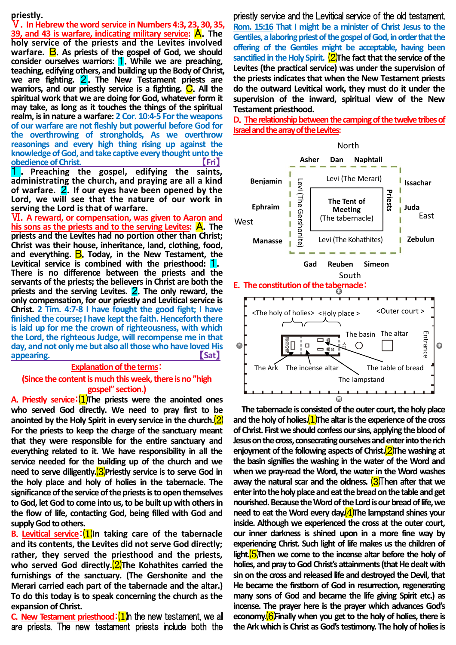## **priestly.**

Ⅴ.**In Hebrew the word service in Numbers 4:3, 23, 30, 35, 39, and 43 is warfare, indicating military service:** A.**The holy service of the priests and the Levites involved**  warfare. **B**. As priests of the gospel of God, we should **consider ourselves warriors:** 1.**While we are preaching, teaching, edifying others, and building up the Body of Christ, we are fighting.** 2.**The New Testament priests are**  warriors, and our priestly service is a fighting. C. All the **spiritual work that we are doing for God, whatever form it may take, as long as it touches the things of the spiritual realm, is in nature a warfare: 2 Cor. 10:4-5 For the weapons of our warfare are not fleshly but powerful before God for the overthrowing of strongholds, As we overthrow reasonings and every high thing rising up against the knowledge of God, and take captive every thought unto the <u>obedience of Christ.</u>** 1 . **Preaching the gospel, edifying the saints,** 

**administrating the church, and praying are all a kind of warfare.** 2.**If our eyes have been opened by the Lord, we will see that the nature of our work in serving the Lord is that of warfare.**

Ⅵ.**A reward, or compensation, was given to Aaron and his sons as the priests and to the serving Levites:** A.**The priests and the Levites had no portion other than Christ; Christ was their house, inheritance, land, clothing, food,**  and everything. **B**. Today, in the New Testament, the **Levitical service is combined with the priesthood:** 1. **There is no difference between the priests and the servants of the priests; the believers in Christ are both the priests and the serving Levites.** 2.**The only reward, the only compensation, for our priestly and Levitical service is Christ. 2 Tim. 4:7-8 I have fought the good fight; I have finished the course; I have kept the faith. Henceforth there is laid up for me the crown of righteousness, with which the Lord, the righteous Judge, will recompense me in that day, and not only me but also all those who have loved His**  appearing. **Contract of the set of the set of the set of the set of the set of the set of the set of the set of the set of the set of the set of the set of the set of the set of the set of the set of the set of the set of** 

## **Explanation of the terms**: **(Since the content is much this week, there is no "high gospel" section.)**

**A**.**Priestly service**:⑴**The priests were the anointed ones who served God directly. We need to pray first to be anointed by the Holy Spirit in every service in the church.**⑵ **For the priests to keep the charge of the sanctuary meant that they were responsible for the entire sanctuary and everything related to it. We have responsibility in all the service needed for the building up of the church and we need to serve diligently.**<sup>(3)</sup>Priestly service is to serve God in **the holy place and holy of holies in the tabernacle. The significance of the service of the priests is to open themselves to God, let God to come into us, to be built up with others in the flow of life, contacting God, being filled with God and supply God to others.**

**B**.**Levitical service**:⑴**In taking care of the tabernacle and its contents, the Levites did not serve God directly; rather, they served the priesthood and the priests, who served God directly.**<sup>(2)</sup>The Kohathites carried the **furnishings of the sanctuary. (The Gershonite and the Merari carried each part of the tabernacle and the altar.) To do this today is to speak concerning the church as the expansion of Christ.**

**C.** New Testament priesthood: (1) In the new testament, we all are priests. The new testament priests include both the priestly service and the Levitical service of the old testament. **Rom. 15:16 That I might be a minister of Christ Jesus to the Gentiles, a laboring priest of the gospel of God, in order that the offering of the Gentiles might be acceptable, having been sanctified in the Holy Spirit.** ⑵**The fact that the service of the Levites (the practical service) was under the supervision of the priests indicates that when the New Testament priests do the outward Levitical work, they must do it under the supervision of the inward, spiritual view of the New Testament priesthood.**

**D**.**The relationship between the camping of the twelve tribes of Israel and the arrayof the Levites:**



**The tabernacle is consisted of the outer court, the holy place and the holy of holies.**⑴**The altar is the experience of the cross of Christ. First we should confess our sins, applying the blood of Jesus on the cross, consecrating ourselves and enter into the rich enjoyment of the following aspects of Christ.**⑵**The washing at the basin signifies the washing in the water of the Word and when we pray-read the Word, the water in the Word washes away the natural scar and the oldness.** ⑶T**hen after that we enter into the holy place and eat the bread on the table and get nourished. Because the Word of the Lord is our bread of life, we need to eat the Word every day.** (4) The lampstand shines your **inside. Although we experienced the cross at the outer court, our inner darkness is shined upon in a more fine way by experiencing Christ. Such light of life makes us the children of light.**⑸**Then we come to the incense altar before the holy of holies, and pray to God Christ's attainments (that He dealt with sin on the cross and released life and destroyed the Devil, that He became the firstborn of God in resurrection, regenerating many sons of God and became the life giving Spirit etc.) as incense. The prayer here is the prayer which advances God's economy.**⑹**Finally when you get to the holy of holies, there is the Ark which is Christ as God's testimony. The holy of holies is**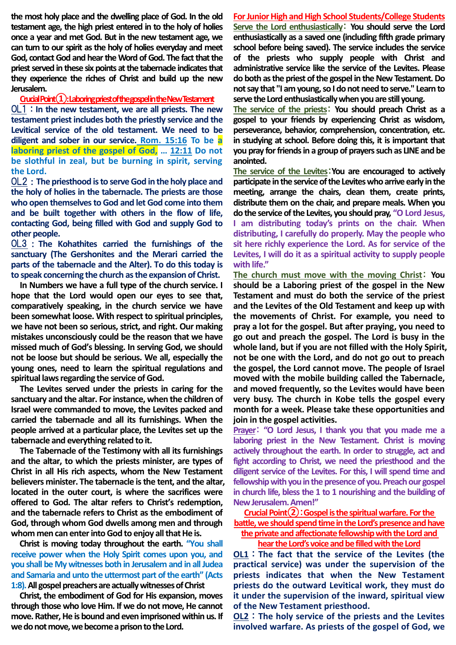**the most holy place and the dwelling place of God. In the old testament age, the high priest entered in to the holy of holies once a year and met God. But in the new testament age, we can turn to our spirit as the holy of holies everyday and meet God, contact God and hear the Word of God. The fact that the priest served in these six points at the tabernacle indicates that they experience the riches of Christ and build up the new Jerusalem.**

**Crucial Point①: Laboring priest of the gospel in the New Testament**

OL1:**In the new testament, we are all priests. The new testament priest includes both the priestly service and the Levitical service of the old testament. We need to be diligent and sober in our service. Rom. 15:16 To be a laboring priest of the gospel of God, … 12:11 Do not be slothful in zeal, but be burning in spirit, serving the Lord.**

OL2:**The priesthood is to serve God in the holy place and the holy of holies in the tabernacle. The priests are those who open themselves to God and let God come into them and be built together with others in the flow of life, contacting God, being filled with God and supply God to other people.**

OL3:**The Kohathites carried the furnishings of the sanctuary (The Gershonites and the Merari carried the parts of the tabernacle and the Alter). To do this today is to speak concerning the church as the expansion of Christ.**

**In Numbers we have a full type of the church service. I hope that the Lord would open our eyes to see that, comparatively speaking, in the church service we have been somewhat loose. With respect to spiritual principles, we have not been so serious, strict, and right. Our making mistakes unconsciously could be the reason that we have missed much of God's blessing. In serving God, we should not be loose but should be serious. We all, especially the young ones, need to learn the spiritual regulations and spiritual laws regarding the service of God.**

**The Levites served under the priests in caring for the sanctuary and the altar. For instance, when the children of Israel were commanded to move, the Levites packed and carried the tabernacle and all its furnishings. When the people arrived at a particular place, the Levites set up the tabernacle and everything related to it.**

**The Tabernacle of the Testimony with all its furnishings and the altar, to which the priests minister, are types of Christ in all His rich aspects, whom the New Testament believers minister. The tabernacle is the tent, and the altar, located in the outer court, is where the sacrifices were offered to God. The altar refers to Christ's redemption, and the tabernacle refers to Christ as the embodiment of God, through whom God dwells among men and through whom men can enter into God to enjoy all that He is.**

**Christ is moving today throughout the earth. "You shall receive power when the Holy Spirit comes upon you, and you shall be My witnesses both in Jerusalem and in all Judea and Samaria and unto the uttermost part of the earth" (Acts 1:8). All gospel preachers are actually witnesses of Christ**

**Christ, the embodiment of God for His expansion, moves through those who love Him. If we do not move, He cannot move. Rather, He is bound and even imprisoned within us. If we do not move, we become a prison to the Lord.**

**For Junior High and High School Students/College Students Serve the Lord enthusiastically**: **You should serve the Lord enthusiastically as a saved one (including fifth grade primary school before being saved). The service includes the service of the priests who supply people with Christ and administrative service like the service of the Levites. Please do both as the priest of the gospel in the New Testament. Do not say that "I am young, so I do not need to serve." Learn to serve the Lord enthusiastically when you are still young.**

**The service of the priests**: **You should preach Christ as a gospel to your friends by experiencing Christ as wisdom, perseverance, behavior, comprehension, concentration, etc. in studying at school. Before doing this, it is important that you pray for friends in a group of prayers such as LINE and be anointed.**

**The service of the Levites**:**You are encouraged to actively participate in the service of the Levites who arrive early in the meeting, arrange the chairs, clean them, create prints, distribute them on the chair, and prepare meals. When you do the service of the Levites, you should pray, "O Lord Jesus, I am distributing today's prints on the chair. When distributing, I carefully do properly. May the people who sit here richly experience the Lord. As for service of the Levites, I will do it as a spiritual activity to supply people with life."**

**The church must move with the moving Christ**: **You should be a Laboring priest of the gospel in the New Testament and must do both the service of the priest and the Levites of the Old Testament and keep up with the movements of Christ. For example, you need to pray a lot for the gospel. But after praying, you need to go out and preach the gospel. The Lord is busy in the whole land, but if you are not filled with the Holy Spirit, not be one with the Lord, and do not go out to preach the gospel, the Lord cannot move. The people of Israel moved with the mobile building called the Tabernacle, and moved frequently, so the Levites would have been very busy. The church in Kobe tells the gospel every month for a week. Please take these opportunities and join in the gospel activities.**

**Prayer**: **"O Lord Jesus, I thank you that you made me a laboring priest in the New Testament. Christ is moving actively throughout the earth. In order to struggle, act and fight according to Christ, we need the priesthood and the diligent service of the Levites. For this, I will spend time and fellowship with you in the presence of you. Preach our gospel in church life, bless the 1 to 1 nourishing and the building of New Jerusalem. Amen!"**

**Crucial Point②**:**Gospel is the spiritual warfare. For the battle, we should spend time in the Lord'spresence and have the private and affectionate fellowship with the Lord and** 

### **hear the Lord's voice and be filled with the Lord**

**OL1**:**The fact that the service of the Levites (the practical service) was under the supervision of the priests indicates that when the New Testament priests do the outward Levitical work, they must do it under the supervision of the inward, spiritual view of the New Testament priesthood.**

**OL2**:**The holy service of the priests and the Levites involved warfare. As priests of the gospel of God, we**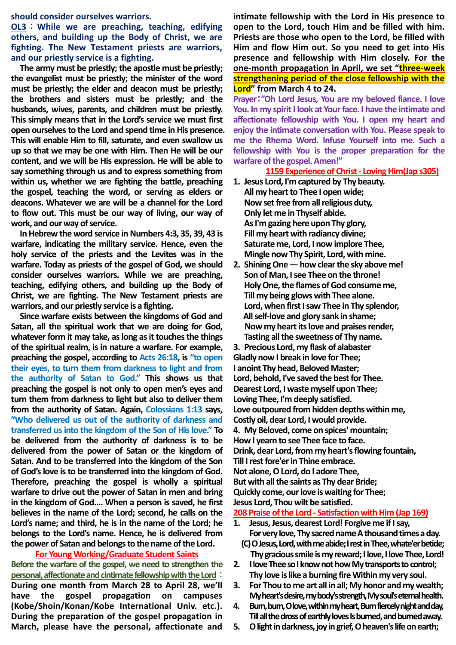#### **should consider ourselves warriors.**

**OL3**:**While we are preaching, teaching, edifying others, and building up the Body of Christ, we are fighting. The New Testament priests are warriors, and our priestly service is a fighting.**

**The army must be priestly; the apostle must be priestly; the evangelist must be priestly; the minister of the word must be priestly; the elder and deacon must be priestly; the brothers and sisters must be priestly; and the husbands, wives, parents, and children must be priestly. This simply means that in the Lord's service we must first open ourselves to the Lord and spend time in His presence. This will enable Him to fill, saturate, and even swallow us up so that we may be one with Him. Then He will be our content, and we will be His expression. He will be able to say something through us and to express something from within us, whether we are fighting the battle, preaching the gospel, teaching the word, or serving as elders or deacons. Whatever we are will be a channel for the Lord to flow out. This must be our way of living, our way of work, and our way of service.** 

**In Hebrew the word service in Numbers 4:3, 35, 39, 43 is warfare, indicating the military service. Hence, even the holy service of the priests and the Levites was in the warfare. Today as priests of the gospel of God, we should consider ourselves warriors. While we are preaching, teaching, edifying others, and building up the Body of Christ, we are fighting. The New Testament priests are warriors, and our priestly service is a fighting.** 

**Since warfare exists between the kingdoms of God and Satan, all the spiritual work that we are doing for God, whatever form it may take, as long as it touches the things of the spiritual realm, is in nature a warfare. For example, preaching the gospel, according to Acts 26:18, is "to open their eyes, to turn them from darkness to light and from the authority of Satan to God." This shows us that preaching the gospel is not only to open men's eyes and turn them from darkness to light but also to deliver them from the authority of Satan. Again, Colossians 1:13 says, "Who delivered us out of the authority of darkness and transferred us into the kingdom of the Son of His love." To be delivered from the authority of darkness is to be delivered from the power of Satan or the kingdom of Satan. And to be transferred into the kingdom of the Son of God's love is to be transferred into the kingdom of God. Therefore, preaching the gospel is wholly a spiritual warfare to drive out the power of Satan in men and bring in the kingdom of God.... When a person is saved, he first believes in the name of the Lord; second, he calls on the Lord's name; and third, he is in the name of the Lord; he belongs to the Lord's name. Hence, he is delivered from the power of Satan and belongs to the name of the Lord.**

**For Young Working/Graduate Student Saints Before the warfare of the gospel, we need to strengthen the personal, affectionate and cintimate fellowship with the Lord**: **During one month from March 28 to April 28, we'll have the gospel propagation on campuses (Kobe/Shoin/Konan/Kobe International Univ. etc.). During the preparation of the gospel propagation in March, please have the personal, affectionate and**  **intimate fellowship with the Lord in His presence to open to the Lord, touch Him and be filled with him. Priests are those who open to the Lord, be filled with Him and flow Him out. So you need to get into His presence and fellowship with Him closely. For the one-month propagation in April, we set "three-week strengthening period of the close fellowship with the Lord" from March 4 to 24.**

**Prayer**:**"Oh Lord Jesus, You are my beloved fiance. I love You. In my spirit I look at Your face. I have the intimate and affectionate fellowship with You. I open my heart and enjoy the intimate conversation with You. Please speak to me the Rhema Word. Infuse Yourself into me. Such a fellowship with You is the proper preparation for the warfare of the gospel. Amen!"**

# **1159 Experience of Christ - Loving Him(Jap s305)**

- **1. Jesus Lord, I'm captured by Thy beauty. All my heart to Thee I open wide; Now set free from all religious duty, Only let me in Thyself abide. As I'm gazing here upon Thy glory, Fill my heart with radiancy divine; Saturate me, Lord, I now implore Thee, Mingle now Thy Spirit, Lord, with mine.**
- **2. Shining One ― how clear the sky above me! Son of Man, I see Thee on the throne! Holy One, the flames of God consume me, Till my being glows with Thee alone. Lord, when first I saw Thee in Thy splendor, All self-love and glory sank in shame; Now my heart its love and praises render, Tasting all the sweetness of Thy name.**

**3. Precious Lord, my flask of alabaster Gladly now I break in love for Thee; I anoint Thy head, Beloved Master; Lord, behold, I've saved the best for Thee. Dearest Lord, I waste myself upon Thee; Loving Thee, I'm deeply satisfied. Love outpoured from hidden depths within me, Costly oil, dear Lord, I would provide. 4. My Beloved, come on spices' mountain; How I yearn to see Thee face to face. Drink, dear Lord, from my heart's flowing fountain, Till I rest fore'er in Thine embrace. Not alone, O Lord, do I adore Thee, But with all the saints as Thy dear Bride; Quickly come, our love is waiting for Thee; Jesus Lord, Thou wilt be satisfied.**

# **208 Praise of the Lord - Satisfaction with Him (Jap 169)**

- **1. Jesus, Jesus, dearest Lord! Forgive me if I say, For very love, Thy sacred name A thousand times a day. (C) O Jesus, Lord, with me abide; I rest in Thee, whate'er betide;**
- **Thy gracious smile is my reward; I love, I love Thee, Lord! 2. I love Thee so I know not how My transports to control;**
- **Thy love is like a burning fire Within my very soul.**
- **3. For Thou to me art all in all; My honor and my wealth; My heart's desire, my body's strength, My soul's eternal health.**
- **4. Burn, burn, O love, within my heart, Burn fiercely night and day, Till all the dross of earthly loves Is burned, and burned away.**
- **5. O light in darkness, joy in grief, O heaven's life on earth;**